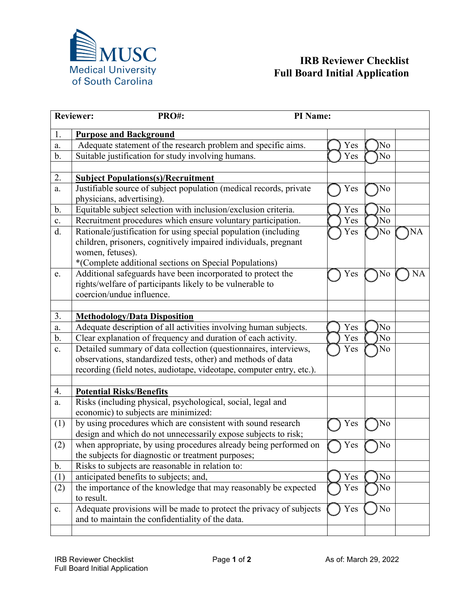

## **IRB Reviewer Checklist Full Board Initial Application**

| PRO#:<br>PI Name:<br><b>Reviewer:</b> |                                                                      |     |                |           |
|---------------------------------------|----------------------------------------------------------------------|-----|----------------|-----------|
| 1.                                    | <b>Purpose and Background</b>                                        |     |                |           |
| a.                                    | Adequate statement of the research problem and specific aims.        | Yes | No             |           |
| $b$ .                                 | Suitable justification for study involving humans.                   | Yes | No             |           |
|                                       |                                                                      |     |                |           |
| 2.                                    | <b>Subject Populations(s)/Recruitment</b>                            |     |                |           |
| a.                                    | Justifiable source of subject population (medical records, private   | Yes | No             |           |
|                                       | physicians, advertising).                                            |     |                |           |
| b.                                    | Equitable subject selection with inclusion/exclusion criteria.       | Yes | No             |           |
| $\mathbf{c}$ .                        | Recruitment procedures which ensure voluntary participation.         | Yes | No             |           |
| $\overline{d}$ .                      | Rationale/justification for using special population (including      | Yes | No             | <b>NA</b> |
|                                       | children, prisoners, cognitively impaired individuals, pregnant      |     |                |           |
|                                       | women, fetuses).                                                     |     |                |           |
|                                       | *(Complete additional sections on Special Populations)               |     |                |           |
| e.                                    | Additional safeguards have been incorporated to protect the          | Yes | No             | <b>NA</b> |
|                                       | rights/welfare of participants likely to be vulnerable to            |     |                |           |
|                                       | coercion/undue influence.                                            |     |                |           |
|                                       |                                                                      |     |                |           |
| 3.                                    | <b>Methodology/Data Disposition</b>                                  |     |                |           |
| a.                                    | Adequate description of all activities involving human subjects.     | Yes | N <sub>o</sub> |           |
| $b$ .                                 | Clear explanation of frequency and duration of each activity.        | Yes | No             |           |
| c.                                    | Detailed summary of data collection (questionnaires, interviews,     | Yes | No             |           |
|                                       | observations, standardized tests, other) and methods of data         |     |                |           |
|                                       | recording (field notes, audiotape, videotape, computer entry, etc.). |     |                |           |
|                                       |                                                                      |     |                |           |
| 4.                                    | <b>Potential Risks/Benefits</b>                                      |     |                |           |
| a.                                    | Risks (including physical, psychological, social, legal and          |     |                |           |
|                                       | economic) to subjects are minimized:                                 |     |                |           |
| (1)                                   | by using procedures which are consistent with sound research         | Yes | No             |           |
|                                       | design and which do not unnecessarily expose subjects to risk;       |     |                |           |
| (2)                                   | when appropriate, by using procedures already being performed on     | Yes | No             |           |
|                                       | the subjects for diagnostic or treatment purposes;                   |     |                |           |
| $\mathbf b$ .                         | Risks to subjects are reasonable in relation to:                     |     |                |           |
| (1)                                   | anticipated benefits to subjects; and,                               | Yes | N <sub>o</sub> |           |
| (2)                                   | the importance of the knowledge that may reasonably be expected      | Yes | No             |           |
|                                       | to result.                                                           |     |                |           |
| c.                                    | Adequate provisions will be made to protect the privacy of subjects  | Yes | No             |           |
|                                       | and to maintain the confidentiality of the data.                     |     |                |           |
|                                       |                                                                      |     |                |           |